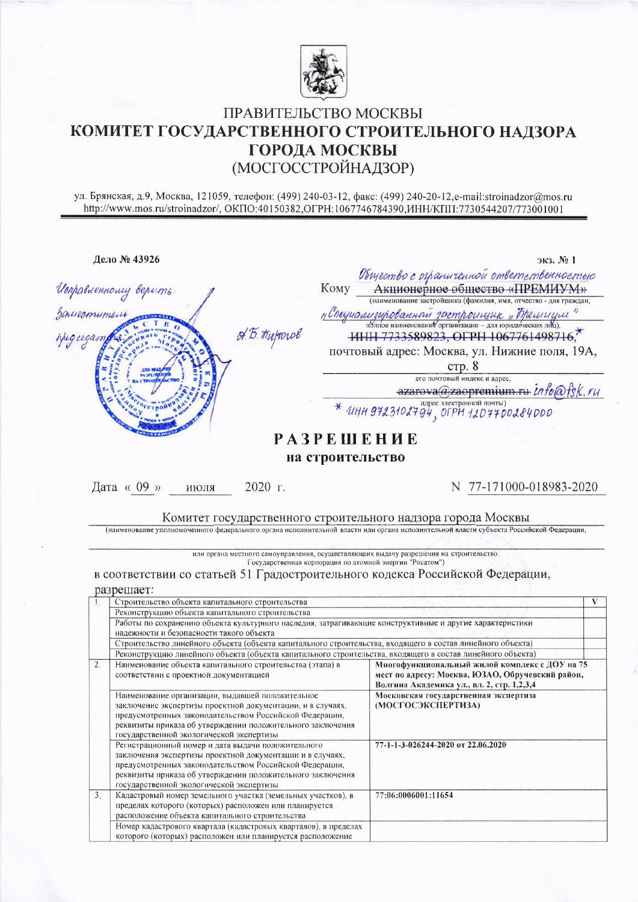

## ПРАВИТЕЛЬСТВО МОСКВЫ КОМИТЕТ ГОСУДАРСТВЕННОГО СТРОИТЕЛЬНОГО НАДЗОРА ГОРОДА МОСКВЫ (МОСГОССТРОЙНАДЗОР)

ул. Брянская, д.9, Москва, 121059, телефон: (499) 240-03-12, факс: (499) 240-20-12, e-mail:stroinadzor@mos.ru<br>http://www.mos.ru/stroinadzor/, ОКПО:40150382, ОГРН:1067746784390, ИНН/КПП:7730544207/773001001

|                | Дело № 43926                                                                                                                            | $3k3.$ $N_2$ 1                                                                                                                                     |   |  |  |  |  |
|----------------|-----------------------------------------------------------------------------------------------------------------------------------------|----------------------------------------------------------------------------------------------------------------------------------------------------|---|--|--|--|--|
|                |                                                                                                                                         |                                                                                                                                                    |   |  |  |  |  |
|                | <b>Komy</b>                                                                                                                             |                                                                                                                                                    |   |  |  |  |  |
|                |                                                                                                                                         | Общество с отраниченной ответететенностью<br>Акционерное общество «ПРЕМИУМ»                                                                        |   |  |  |  |  |
|                |                                                                                                                                         |                                                                                                                                                    |   |  |  |  |  |
|                |                                                                                                                                         | п Спеуианизированной застроищик "Прешиции"                                                                                                         |   |  |  |  |  |
|                | Umpaluennouvy bepums<br>Baueconument<br>A.B. Huporob                                                                                    | HHH 7733589823, OFPH 1067761498716,*                                                                                                               |   |  |  |  |  |
|                |                                                                                                                                         | почтовый адрес: Москва, ул. Нижние поля, 19А,                                                                                                      |   |  |  |  |  |
|                |                                                                                                                                         | crp. 8                                                                                                                                             |   |  |  |  |  |
|                |                                                                                                                                         | его почтовый индекс и адрес,                                                                                                                       |   |  |  |  |  |
|                |                                                                                                                                         | azarova@zaopremium.ru info@fsk.ru                                                                                                                  |   |  |  |  |  |
|                |                                                                                                                                         | $*$ UHH 9723102794, OFPH 120770284000                                                                                                              |   |  |  |  |  |
|                |                                                                                                                                         |                                                                                                                                                    |   |  |  |  |  |
|                |                                                                                                                                         | <b>РАЗРЕШЕНИЕ</b>                                                                                                                                  |   |  |  |  |  |
|                |                                                                                                                                         | на строительство                                                                                                                                   |   |  |  |  |  |
|                | Дата « 09 »<br>2020 г.<br>июля                                                                                                          | N 77-171000-018983-2020                                                                                                                            |   |  |  |  |  |
|                |                                                                                                                                         |                                                                                                                                                    |   |  |  |  |  |
|                |                                                                                                                                         |                                                                                                                                                    |   |  |  |  |  |
|                | Комитет государственного строительного надзора города Москвы                                                                            |                                                                                                                                                    |   |  |  |  |  |
|                | (наименование уполномоченного федерального органа исполнительной власти или органа исполнительной власти субъекта Российской Федерации, |                                                                                                                                                    |   |  |  |  |  |
|                |                                                                                                                                         |                                                                                                                                                    |   |  |  |  |  |
|                |                                                                                                                                         |                                                                                                                                                    |   |  |  |  |  |
|                |                                                                                                                                         |                                                                                                                                                    |   |  |  |  |  |
|                |                                                                                                                                         | или органа местного самоуправления, осуществляющих выдачу разрешения на строительство,<br>Государственная корпорация по атомной энергии "Росатом") |   |  |  |  |  |
|                | в соответствии со статьей 51 Градостроительного кодекса Российской Федерации,                                                           |                                                                                                                                                    |   |  |  |  |  |
|                |                                                                                                                                         |                                                                                                                                                    |   |  |  |  |  |
|                | разрешает:                                                                                                                              |                                                                                                                                                    |   |  |  |  |  |
| $\mathbf{1}$ . | Строительство объекта капитального строительства                                                                                        |                                                                                                                                                    | V |  |  |  |  |
|                | Реконструкцию объекта капитального строительства                                                                                        |                                                                                                                                                    |   |  |  |  |  |
|                | Работы по сохранению объекта культурного наследия, затрагивающие конструктивные и другие характеристики                                 |                                                                                                                                                    |   |  |  |  |  |
|                | надежности и безопасности такого объекта                                                                                                |                                                                                                                                                    |   |  |  |  |  |
|                | Строительство линейного объекта (объекта капитального строительства, входящего в состав линейного объекта)                              |                                                                                                                                                    |   |  |  |  |  |
|                | Реконструкцию линейного объекта (объекта капитального строительства, входящего в состав линейного объекта)                              |                                                                                                                                                    |   |  |  |  |  |
| 2.             | Наименование объекта капитального строительства (этапа) в                                                                               | Многофункциональный жилой комплекс с ДОУ на 75                                                                                                     |   |  |  |  |  |
|                | соответствии с проектной документацией                                                                                                  | мест по адресу: Москва, ЮЗАО, Обручевский район,                                                                                                   |   |  |  |  |  |
|                |                                                                                                                                         | Волгина Академика ул., вл. 2, стр. 1,2,3,4                                                                                                         |   |  |  |  |  |
|                | Наименование организации, выдавшей положительное                                                                                        | Московская государственная экспертиза                                                                                                              |   |  |  |  |  |
|                | заключение экспертизы проектной документации, и в случаях,                                                                              | (МОСГОСЭКСПЕРТИЗА)                                                                                                                                 |   |  |  |  |  |
|                | предусмотренных законодательством Российской Федерации,                                                                                 |                                                                                                                                                    |   |  |  |  |  |
|                | реквизиты приказа об утверждении положительного заключения                                                                              |                                                                                                                                                    |   |  |  |  |  |
|                | государственной экологической экспертизы                                                                                                | 77-1-1-3-026244-2020 от 22.06.2020                                                                                                                 |   |  |  |  |  |
|                | Регистрационный номер и дата выдачи положительного<br>заключения экспертизы проектной документации и в случаях,                         |                                                                                                                                                    |   |  |  |  |  |
|                | предусмотренных законодательством Российской Федерации,                                                                                 |                                                                                                                                                    |   |  |  |  |  |
|                | реквизиты приказа об утверждении положительного заключения                                                                              |                                                                                                                                                    |   |  |  |  |  |
|                | государственной экологической экспертизы                                                                                                |                                                                                                                                                    |   |  |  |  |  |
| 3.5            | Кадастровый номер земельного участка (земельных участков), в                                                                            | 77:06:0006001:11654                                                                                                                                |   |  |  |  |  |
|                | пределах которого (которых) расположен или планируется                                                                                  |                                                                                                                                                    |   |  |  |  |  |
|                |                                                                                                                                         |                                                                                                                                                    |   |  |  |  |  |
|                | расположение объекта капитального строительства                                                                                         |                                                                                                                                                    |   |  |  |  |  |
|                | Номер кадастрового квартала (кадастровых кварталов), в пределах<br>которого (которых) расположен или планируется расположение           |                                                                                                                                                    |   |  |  |  |  |